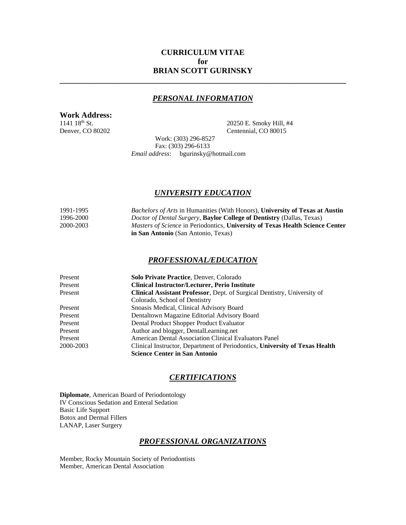# **CURRICULUM VITAE for BRIAN SCOTT GURINSKY**

## *PERSONAL INFORMATION*

**\_\_\_\_\_\_\_\_\_\_\_\_\_\_\_\_\_\_\_\_\_\_\_\_\_\_\_\_\_\_\_\_\_\_\_\_\_\_\_\_\_\_\_\_\_\_\_\_\_\_\_\_\_\_\_\_\_\_\_\_\_\_\_\_\_\_\_\_\_\_\_\_**

# **Work Address:**

1141 18<sup>th</sup> St. 20250 E. Smoky Hill, #4 Denver, CO 80202 Centennial, CO 80015

Work: (303) 296-8527 Fax: (303) 296-6133 *Email address*: bgurinsky@hotmail.com

## *UNIVERSITY EDUCATION*

| 1991-1995 | <i>Bachelors of Arts</i> in Humanities (With Honors), University of Texas at Austin  |
|-----------|--------------------------------------------------------------------------------------|
| 1996-2000 | <i>Doctor of Dental Surgery</i> , <b>Baylor College of Dentistry</b> (Dallas, Texas) |
| 2000-2003 | <i>Masters of Science</i> in Periodontics, University of Texas Health Science Center |
|           | <b>in San Antonio</b> (San Antonio, Texas)                                           |

## *PROFESSIONAL/EDUCATION*

| Present   | <b>Solo Private Practice, Denver, Colorado</b>                              |
|-----------|-----------------------------------------------------------------------------|
| Present   | <b>Clinical Instructor/Lecturer, Perio Institute</b>                        |
| Present   | Clinical Assistant Professor, Dept. of Surgical Dentistry, University of    |
|           | Colorado, School of Dentistry                                               |
| Present   | Snoasis Medical, Clinical Advisory Board                                    |
| Present   | Dentaltown Magazine Editorial Advisory Board                                |
| Present   | Dental Product Shopper Product Evaluator                                    |
| Present   | Author and blogger, DentalLearning.net                                      |
| Present   | American Dental Association Clinical Evaluators Panel                       |
| 2000-2003 | Clinical Instructor, Department of Periodontics, University of Texas Health |
|           | <b>Science Center in San Antonio</b>                                        |

## *CERTIFICATIONS*

**Diplomate**, American Board of Periodontology IV Conscious Sedation and Enteral Sedation Basic Life Support Botox and Dermal Fillers LANAP, Laser Surgery

### *PROFESSIONAL ORGANIZATIONS*

Member, Rocky Mountain Society of Periodontists Member, American Dental Association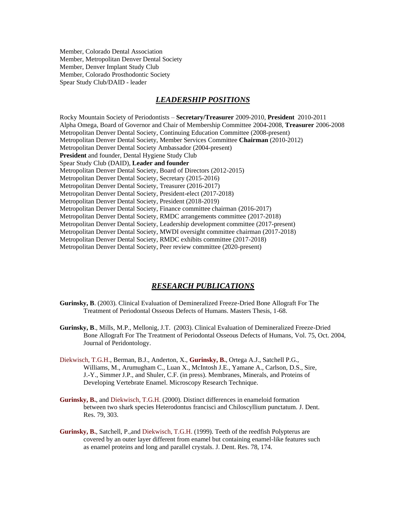Member, Colorado Dental Association Member, Metropolitan Denver Dental Society Member, Denver Implant Study Club Member, Colorado Prosthodontic Society Spear Study Club/DAID - leader

### *LEADERSHIP POSITIONS*

Rocky Mountain Society of Periodontists – **Secretary/Treasurer** 2009-2010, **President** 2010-2011 Alpha Omega, Board of Governor and Chair of Membership Committee 2004-2008, **Treasurer** 2006-2008 Metropolitan Denver Dental Society, Continuing Education Committee (2008-present) Metropolitan Denver Dental Society, Member Services Committee **Chairman** (2010-2012) Metropolitan Denver Dental Society Ambassador (2004-present) **President** and founder, Dental Hygiene Study Club Spear Study Club (DAID), **Leader and founder** Metropolitan Denver Dental Society, Board of Directors (2012-2015) Metropolitan Denver Dental Society, Secretary (2015-2016) Metropolitan Denver Dental Society, Treasurer (2016-2017) Metropolitan Denver Dental Society, President-elect (2017-2018) Metropolitan Denver Dental Society, President (2018-2019) Metropolitan Denver Dental Society, Finance committee chairman (2016-2017) Metropolitan Denver Dental Society, RMDC arrangements committee (2017-2018) Metropolitan Denver Dental Society, Leadership development committee (2017-present) Metropolitan Denver Dental Society, MWDI oversight committee chairman (2017-2018) Metropolitan Denver Dental Society, RMDC exhibits committee (2017-2018) Metropolitan Denver Dental Society, Peer review committee (2020-present)

# *RESEARCH PUBLICATIONS*

- **Gurinsky, B**. (2003). Clinical Evaluation of Demineralized Freeze-Dried Bone Allograft For The Treatment of Periodontal Osseous Defects of Humans. Masters Thesis, 1-68.
- **Gurinsky, B**., Mills, M.P., Mellonig, J.T. (2003). Clinical Evaluation of Demineralized Freeze-Dried Bone Allograft For The Treatment of Periodontal Osseous Defects of Humans, Vol. 75, Oct. 2004, Journal of Peridontology.
- Diekwisch, T.G.H., Berman, B.J., Anderton, X., **Gurinsky, B.**, Ortega A.J., Satchell P.G., Williams, M., Arumugham C., Luan X., McIntosh J.E., Yamane A., Carlson, D.S., Sire, J.-Y., Simmer J.P., and Shuler, C.F. (in press). Membranes, Minerals, and Proteins of Developing Vertebrate Enamel. Microscopy Research Technique.
- **Gurinsky, B.**, and Diekwisch, T.G.H. (2000). Distinct differences in enameloid formation between two shark species Heterodontus francisci and Chiloscyllium punctatum. J. Dent. Res. 79, 303.
- **Gurinsky, B.**, Satchell, P.,and Diekwisch, T.G.H. (1999). Teeth of the reedfish Polypterus are covered by an outer layer different from enamel but containing enamel-like features such as enamel proteins and long and parallel crystals. J. Dent. Res. 78, 174.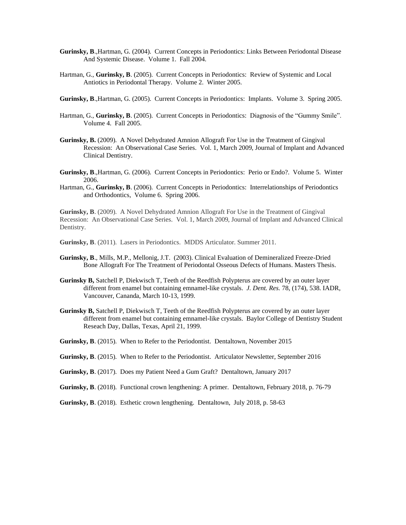- **Gurinsky, B**.,Hartman, G. (2004).Current Concepts in Periodontics: Links Between Periodontal Disease And Systemic Disease. Volume 1. Fall 2004.
- Hartman, G., **Gurinsky, B**. (2005).Current Concepts in Periodontics: Review of Systemic and Local Antiotics in Periodontal Therapy. Volume 2. Winter 2005.
- **Gurinsky, B**.,Hartman, G. (2005).Current Concepts in Periodontics: Implants. Volume 3. Spring 2005.
- Hartman, G., **Gurinsky, B**. (2005).Current Concepts in Periodontics: Diagnosis of the "Gummy Smile". Volume 4. Fall 2005.
- **Gurinsky, B.** (2009). A Novel Dehydrated Amnion Allograft For Use in the Treatment of Gingival Recession: An Observational Case Series. Vol. 1, March 2009, Journal of Implant and Advanced Clinical Dentistry.
- **Gurinsky, B**.,Hartman, G. (2006).Current Concepts in Periodontics: Perio or Endo?. Volume 5. Winter 2006.
- Hartman, G., **Gurinsky, B**. (2006).Current Concepts in Periodontics: Interrelationships of Periodontics and Orthodontics, Volume 6. Spring 2006.

**Gurinsky, B**. (2009). A Novel Dehydrated Amnion Allograft For Use in the Treatment of Gingival Recession: An Observational Case Series. Vol. 1, March 2009, Journal of Implant and Advanced Clinical Dentistry.

- **Gurinsky, B**. (2011). Lasers in Periodontics. MDDS Articulator. Summer 2011.
- **Gurinsky, B**., Mills, M.P., Mellonig, J.T. (2003). Clinical Evaluation of Demineralized Freeze-Dried Bone Allograft For The Treatment of Periodontal Osseous Defects of Humans. Masters Thesis.
- **Gurinsky B,** Satchell P, Diekwisch T, Teeth of the Reedfish Polypterus are covered by an outer layer different from enamel but containing emnamel-like crystals. *J. Dent. Res.* 78, (174), 538. IADR, Vancouver, Cananda, March 10-13, 1999.
- **Gurinsky B,** Satchell P, Diekwisch T, Teeth of the Reedfish Polypterus are covered by an outer layer different from enamel but containing emnamel-like crystals. Baylor College of Dentistry Student Reseach Day, Dallas, Texas, April 21, 1999.
- **Gurinsky, B**. (2015). When to Refer to the Periodontist. Dentaltown, November 2015
- **Gurinsky, B**. (2015). When to Refer to the Periodontist. Articulator Newsletter, September 2016
- **Gurinsky, B**. (2017). Does my Patient Need a Gum Graft? Dentaltown, January 2017
- **Gurinsky, B**. (2018). Functional crown lengthening: A primer. Dentaltown, February 2018, p. 76-79
- **Gurinsky, B**. (2018). Esthetic crown lengthening. Dentaltown, July 2018, p. 58-63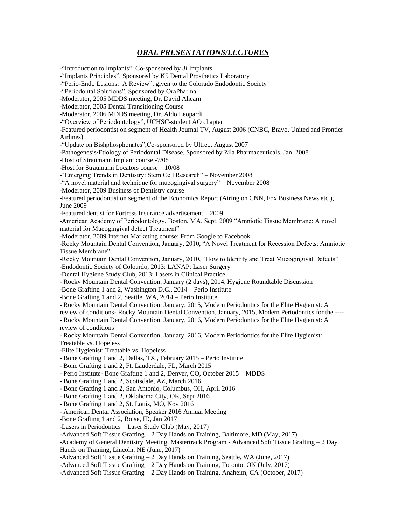# *ORAL PRESENTATIONS/LECTURES*

-"Introduction to Implants", Co-sponsored by 3i Implants -"Implants Principles", Sponsored by K5 Dental Prosthetics Laboratory -"Perio-Endo Lesions: A Review", given to the Colorado Endodontic Society -"Periodontal Solutions", Sponsored by OraPharma. -Moderator, 2005 MDDS meeting, Dr. David Ahearn -Moderator, 2005 Dental Transitioning Course -Moderator, 2006 MDDS meeting, Dr. Aldo Leopardi -"Overview of Periodontology", UCHSC-student AO chapter -Featured periodontist on segment of Health Journal TV, August 2006 (CNBC, Bravo, United and Frontier Airlines) -"Update on Bishphosphonates",Co-sponsored by Ultreo, August 2007 -Pathogenesis/Etiology of Periodontal Disease, Sponsored by Zila Pharmaceuticals, Jan. 2008 -Host of Straumann Implant course -7/08 -Host for Straumann Locators course – 10/08 -"Emerging Trends in Dentistry: Stem Cell Research" – November 2008 -"A novel material and technique for mucogingival surgery" – November 2008 -Moderator, 2009 Business of Dentistry course -Featured periodontist on segment of the Economics Report (Airing on CNN, Fox Business News,etc.), June 2009 -Featured dentist for Fortress Insurance advertisement – 2009 -American Academy of Periodontology, Boston, MA, Sept. 2009 "Amniotic Tissue Membrane: A novel material for Mucogingival defect Treatment" -Moderator, 2009 Internet Marketing course: From Google to Facebook -Rocky Mountain Dental Convention, January, 2010, "A Novel Treatment for Recession Defects: Amniotic Tissue Membrane" -Rocky Mountain Dental Convention, January, 2010, "How to Identify and Treat Mucogingival Defects" -Endodontic Society of Coloardo, 2013: LANAP: Laser Surgery -Dental Hygiene Study Club, 2013: Lasers in Clinical Practice - Rocky Mountain Dental Convention, January (2 days), 2014, Hygiene Roundtable Discussion -Bone Grafting 1 and 2, Washington D.C., 2014 – Perio Institute -Bone Grafting 1 and 2, Seattle, WA, 2014 – Perio Institute - Rocky Mountain Dental Convention, January, 2015, Modern Periodontics for the Elite Hygienist: A review of conditions- Rocky Mountain Dental Convention, January, 2015, Modern Periodontics for the ---- - Rocky Mountain Dental Convention, January, 2016, Modern Periodontics for the Elite Hygienist: A review of conditions - Rocky Mountain Dental Convention, January, 2016, Modern Periodontics for the Elite Hygienist: Treatable vs. Hopeless -Elite Hygienist: Treatable vs. Hopeless - Bone Grafting 1 and 2, Dallas, TX., February 2015 – Perio Institute - Bone Grafting 1 and 2, Ft. Lauderdale, FL, March 2015 - Perio Institute- Bone Grafting 1 and 2, Denver, CO, October 2015 – MDDS - Bone Grafting 1 and 2, Scottsdale, AZ, March 2016 - Bone Grafting 1 and 2, San Antonio, Columbus, OH, April 2016 - Bone Grafting 1 and 2, Oklahoma City, OK, Sept 2016 - Bone Grafting 1 and 2, St. Louis, MO, Nov 2016 - American Dental Association, Speaker 2016 Annual Meeting -Bone Grafting 1 and 2, Boise, ID, Jan 2017 -Lasers in Periodontics – Laser Study Club (May, 2017) -Advanced Soft Tissue Grafting – 2 Day Hands on Training, Baltimore, MD (May, 2017) -Academy of General Dentistry Meeting, Mastertrack Program - Advanced Soft Tissue Grafting – 2 Day Hands on Training, Lincoln, NE (June, 2017) -Advanced Soft Tissue Grafting – 2 Day Hands on Training, Seattle, WA (June, 2017) -Advanced Soft Tissue Grafting – 2 Day Hands on Training, Toronto, ON (July, 2017) -Advanced Soft Tissue Grafting – 2 Day Hands on Training, Anaheim, CA (October, 2017)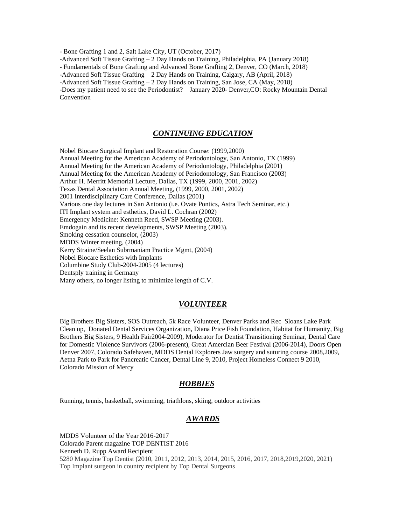- Bone Grafting 1 and 2, Salt Lake City, UT (October, 2017)

-Advanced Soft Tissue Grafting – 2 Day Hands on Training, Philadelphia, PA (January 2018)

- Fundamentals of Bone Grafting and Advanced Bone Grafting 2, Denver, CO (March, 2018)

-Advanced Soft Tissue Grafting – 2 Day Hands on Training, Calgary, AB (April, 2018)

-Advanced Soft Tissue Grafting – 2 Day Hands on Training, San Jose, CA (May, 2018)

-Does my patient need to see the Periodontist? – January 2020- Denver,CO: Rocky Mountain Dental Convention

#### *CONTINUING EDUCATION*

Nobel Biocare Surgical Implant and Restoration Course: (1999,2000) Annual Meeting for the American Academy of Periodontology, San Antonio, TX (1999) Annual Meeting for the American Academy of Periodontology, Philadelphia (2001) Annual Meeting for the American Academy of Periodontology, San Francisco (2003) Arthur H. Merritt Memorial Lecture, Dallas, TX (1999, 2000, 2001, 2002) Texas Dental Association Annual Meeting, (1999, 2000, 2001, 2002) 2001 Interdisciplinary Care Conference, Dallas (2001) Various one day lectures in San Antonio (i.e. Ovate Pontics, Astra Tech Seminar, etc.) ITI Implant system and esthetics, David L. Cochran (2002) Emergency Medicine: Kenneth Reed, SWSP Meeting (2003). Emdogain and its recent developments, SWSP Meeting (2003). Smoking cessation counselor, (2003) MDDS Winter meeting, (2004) Kerry Straine/Seelan Subrmaniam Practice Mgmt, (2004) Nobel Biocare Esthetics with Implants Columbine Study Club-2004-2005 (4 lectures) Dentsply training in Germany Many others, no longer listing to minimize length of C.V.

#### *VOLUNTEER*

Big Brothers Big Sisters, SOS Outreach, 5k Race Volunteer, Denver Parks and Rec Sloans Lake Park Clean up, Donated Dental Services Organization, Diana Price Fish Foundation, Habitat for Humanity, Big Brothers Big Sisters, 9 Health Fair2004-2009), Moderator for Dentist Transitioning Seminar, Dental Care for Domestic Violence Survivors (2006-present), Great Amercian Beer Festival (2006-2014), Doors Open Denver 2007, Colorado Safehaven, MDDS Dental Explorers Jaw surgery and suturing course 2008,2009, Aetna Park to Park for Pancreatic Cancer, Dental Line 9, 2010, Project Homeless Connect 9 2010, Colorado Mission of Mercy

#### *HOBBIES*

Running, tennis, basketball, swimming, triathlons, skiing, outdoor activities

## *AWARDS*

MDDS Volunteer of the Year 2016-2017 Colorado Parent magazine TOP DENTIST 2016 Kenneth D. Rupp Award Recipient 5280 Magazine Top Dentist (2010, 2011, 2012, 2013, 2014, 2015, 2016, 2017, 2018,2019,2020, 2021) Top Implant surgeon in country recipient by Top Dental Surgeons